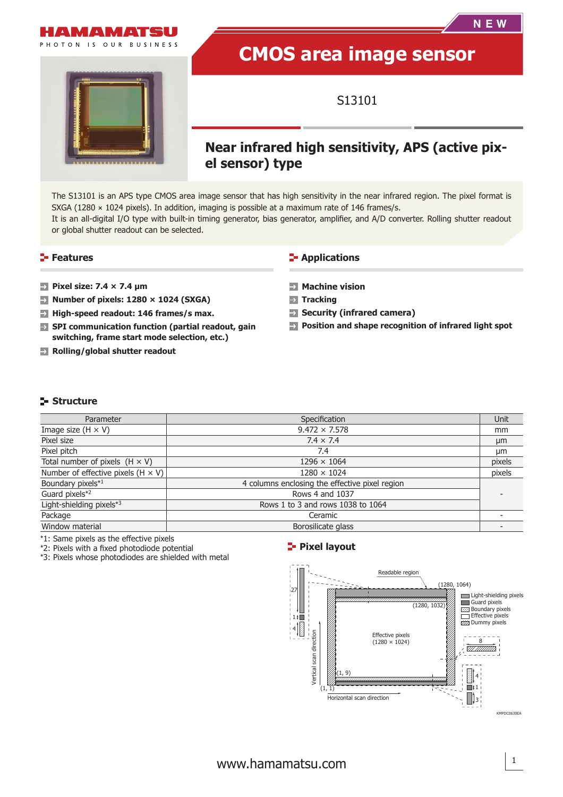

PHOTON IS OUR BUSINESS

# **CMOS area image sensor**

S13101

# **Near infrared high sensitivity, APS (active pixel sensor) type**

The S13101 is an APS type CMOS area image sensor that has high sensitivity in the near infrared region. The pixel format is SXGA (1280  $\times$  1024 pixels). In addition, imaging is possible at a maximum rate of 146 frames/s. It is an all-digital I/O type with built-in timing generator, bias generator, amplifier, and A/D converter. Rolling shutter readout or global shutter readout can be selected.

#### **Features Continuing the Contract of Applications**

- **Pixel size: 7.4 × 7.4 μm**
- **Number of pixels: 1280 × 1024 (SXGA)**
- **High-speed readout: 146 frames/s max.**
- **SPI communication function (partial readout, gain switching, frame start mode selection, etc.)**
- **Rolling/global shutter readout**

- **Machine vision**
- **Tracking**
- **Security (infrared camera)**
- **Position and shape recognition of infrared light spot**

#### **Structure**

| Parameter                                 | Specification                                  | Unit   |
|-------------------------------------------|------------------------------------------------|--------|
| Image size $(H \times V)$                 | $9.472 \times 7.578$                           | mm     |
| Pixel size                                | $7.4 \times 7.4$                               | μm     |
| Pixel pitch                               | 7.4                                            | µm     |
| Total number of pixels $(H \times V)$     | $1296 \times 1064$                             | pixels |
| Number of effective pixels $(H \times V)$ | $1280 \times 1024$                             | pixels |
| Boundary pixels*1                         | 4 columns enclosing the effective pixel region |        |
| Guard pixels*2                            | Rows 4 and 1037                                |        |
| Light-shielding pixels*3                  | Rows 1 to 3 and rows 1038 to 1064              |        |
| Package                                   | Ceramic                                        |        |
| Window material                           | Borosilicate glass                             |        |

\*1: Same pixels as the effective pixels

\*2: Pixels with a fixed photodiode potential

\*3: Pixels whose photodiodes are shielded with metal

#### **Pixel layout**

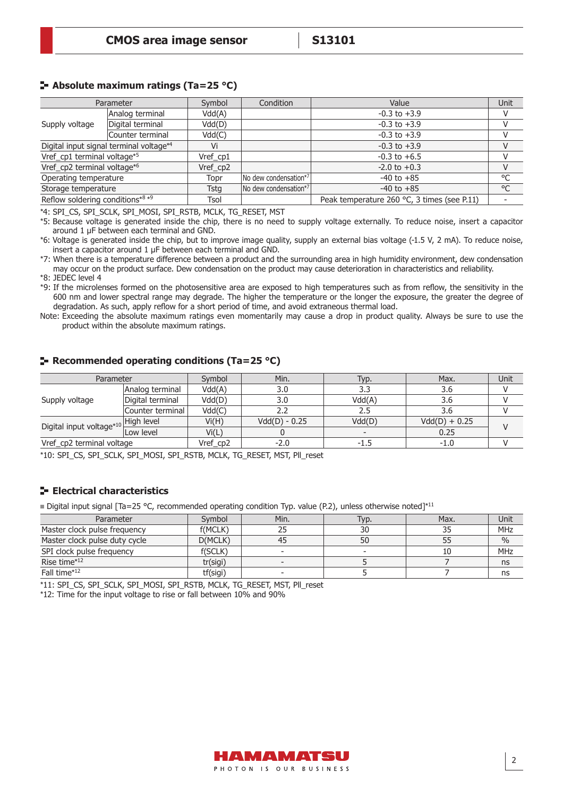# **Absolute maximum ratings (Ta=25 °C)**

| Parameter                               |                  | Symbol      | Condition             | Value                                       | Unit         |
|-----------------------------------------|------------------|-------------|-----------------------|---------------------------------------------|--------------|
| Analog terminal                         |                  | Vdd(A)      | $-0.3$ to $+3.9$      |                                             |              |
| Supply voltage                          | Digital terminal | Vdd(D)      |                       | $-0.3$ to $+3.9$                            |              |
|                                         | Counter terminal | Vdd(C)      |                       | $-0.3$ to $+3.9$                            |              |
| Digital input signal terminal voltage*4 |                  | Vi          |                       | $-0.3$ to $+3.9$                            |              |
| Vref_cp1 terminal voltage*5             |                  | Vref cp1    |                       | $-0.3$ to $+6.5$                            |              |
| Vref_cp2 terminal voltage*6             |                  | Vref_cp2    |                       | $-2.0$ to $+0.3$                            |              |
| Operating temperature                   |                  | Topr        | No dew condensation*7 | $-40$ to $+85$                              | °C           |
| Storage temperature                     |                  | <b>Tstg</b> | No dew condensation*7 | $-40$ to $+85$                              | $^{\circ}$ C |
| Reflow soldering conditions*8 *9        |                  | Tsol        |                       | Peak temperature 260 °C, 3 times (see P.11) |              |

\*4: SPI\_CS, SPI\_SCLK, SPI\_MOSI, SPI\_RSTB, MCLK, TG\_RESET, MST

\*5: Because voltage is generated inside the chip, there is no need to supply voltage externally. To reduce noise, insert a capacitor around 1 μF between each terminal and GND.

\*6: Voltage is generated inside the chip, but to improve image quality, supply an external bias voltage (-1.5 V, 2 mA). To reduce noise, insert a capacitor around 1 μF between each terminal and GND.

\*7: When there is a temperature difference between a product and the surrounding area in high humidity environment, dew condensation may occur on the product surface. Dew condensation on the product may cause deterioration in characteristics and reliability.

\*8: JEDEC level 4

\*9: If the microlenses formed on the photosensitive area are exposed to high temperatures such as from reflow, the sensitivity in the 600 nm and lower spectral range may degrade. The higher the temperature or the longer the exposure, the greater the degree of degradation. As such, apply reflow for a short period of time, and avoid extraneous thermal load.

Note: Exceeding the absolute maximum ratings even momentarily may cause a drop in product quality. Always be sure to use the product within the absolute maximum ratings.

| Parameter                                       |                  | Symbol   | Min.            | Typ.                     | Max.            | Unit |  |
|-------------------------------------------------|------------------|----------|-----------------|--------------------------|-----------------|------|--|
| Supply voltage                                  | Analog terminal  | Vdd(A)   | 3.0             | 3.3                      | 3.6             |      |  |
|                                                 | Digital terminal | Vdd(D)   | 3.0             | Vdd(A)                   | 3.6             |      |  |
|                                                 | Counter terminal | Vdd(C)   |                 | 2.5                      | 3.6             |      |  |
| Digital input voltage* <sup>10</sup> High level |                  | Vi(H)    | $Vdd(D) - 0.25$ | Vdd(D)                   | $Vdd(D) + 0.25$ |      |  |
|                                                 | Low level        | Vi(L)    |                 | $\overline{\phantom{0}}$ | 0.25            |      |  |
| Vref_cp2 terminal voltage                       |                  | Vref_cp2 | $-2.0$          | -1.5                     | $-1.0$          |      |  |

**Recommended operating conditions (Ta=25 °C)** 

\*10: SPI\_CS, SPI\_SCLK, SPI\_MOSI, SPI\_RSTB, MCLK, TG\_RESET, MST, Pll\_reset

## **E** Electrical characteristics

Digital input signal [Ta=25 °C, recommended operating condition Typ. value (P.2), unless otherwise noted]\*11

| Parameter                     | Symbol   | Min.                     | Typ.                     | Max. | Unit          |
|-------------------------------|----------|--------------------------|--------------------------|------|---------------|
| Master clock pulse frequency  | f(MCLK)  |                          | 30                       |      | MHz           |
| Master clock pulse duty cycle | D(MCLK)  | 45                       | 50                       |      | $\frac{0}{0}$ |
| SPI clock pulse frequency     | f(SCLK)  | $\overline{\phantom{0}}$ | $\overline{\phantom{0}}$ |      | MHz           |
| Rise time*12                  | tr(sigi) |                          |                          |      | ns            |
| Fall time*12                  | tf(sigi) | $\overline{\phantom{0}}$ |                          |      | ns            |

\*11: SPI\_CS, SPI\_SCLK, SPI\_MOSI, SPI\_RSTB, MCLK, TG\_RESET, MST, Pll\_reset

\*12: Time for the input voltage to rise or fall between 10% and 90%

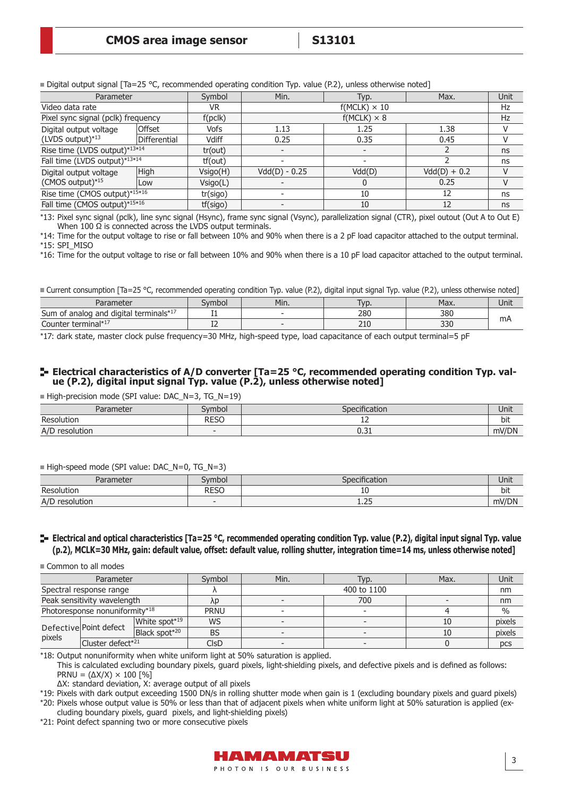| Parameter                                  |               | Symbol      | Min.            | Typ.                | Max.           | Unit |  |  |
|--------------------------------------------|---------------|-------------|-----------------|---------------------|----------------|------|--|--|
| Video data rate                            |               | VR.         |                 | $f(MCLK) \times 10$ |                | Hz   |  |  |
| Pixel sync signal (pclk) frequency         |               | f(pclk)     |                 | $f(MCLK) \times 8$  |                |      |  |  |
| Digital output voltage<br>(LVDS output)*13 | <b>Offset</b> | <b>Vofs</b> | 1.13            | 1.25                | 1.38           |      |  |  |
|                                            | Differential  | Vdiff       | 0.25            | 0.35                | 0.45           |      |  |  |
| Rise time (LVDS output)*13*14              |               | tr(out)     |                 |                     |                | ns   |  |  |
| Fall time (LVDS output)*13*14              |               | tf(out)     |                 |                     |                | ns   |  |  |
| Digital output voltage                     | High          | Vsigo(H)    | $Vdd(D) - 0.25$ | Vdd(D)              | $Vdd(D) + 0.2$ |      |  |  |
| (CMOS output)*15                           | Low           | Vsigo(L)    |                 |                     | 0.25           |      |  |  |
| Rise time (CMOS output)*15*16              |               | tr(sigo)    |                 | 10                  | 12             | ns   |  |  |
| Fall time (CMOS output)*15*16              |               | tf(sigo)    |                 | 10                  | 12             | ns   |  |  |

Digital output signal  $\lceil \text{Ta} = 25 \text{ °C}$ , recommended operating condition Typ. value (P.2), unless otherwise noted]

\*13: Pixel sync signal (pclk), line sync signal (Hsync), frame sync signal (Vsync), parallelization signal (CTR), pixel outout (Out A to Out E) When 100  $\Omega$  is connected across the LVDS output terminals.

\*14: Time for the output voltage to rise or fall between 10% and 90% when there is a 2 pF load capacitor attached to the output terminal. \*15: SPI\_MISO

\*16: Time for the output voltage to rise or fall between 10% and 90% when there is a 10 pF load capacitor attached to the output terminal.

■ Current consumption [Ta=25 °C, recommended operating condition Typ. value (P.2), digital input signal Typ. value (P.2), unless otherwise noted]

| Parameter                                                   | mbo | Min. | <b>IVD</b> | Max. | Unit |
|-------------------------------------------------------------|-----|------|------------|------|------|
| and digital terminals* <sup>17</sup><br>Sum<br>analog<br>0t | .   |      | 280        | 380  |      |
| Counter terminal*17                                         | --  |      | 710<br>ZIU | 330  | mΑ   |

\*17: dark state, master clock pulse frequency=30 MHz, high-speed type, load capacitance of each output terminal=5 pF

#### **Electrical characteristics of A/D converter [Ta=25 °C, recommended operating condition Typ. value (P.2), digital input signal Typ. value (P.2), unless otherwise noted]**

High-precision mode (SPI value: DAC\_N=3, TG\_N=19)

| Parameter         | Symbol      | Specification | Unit  |
|-------------------|-------------|---------------|-------|
| Resolution        | <b>RESO</b> | ᆠ             | bit   |
| A/D<br>resolution |             | ור ה<br>U.JI  | mV/DN |

#### High-speed mode (SPI value: DAC\_N=0, TG\_N=3)

| Parameter         | Symbol                   | Specification     | Unit  |
|-------------------|--------------------------|-------------------|-------|
| Resolution        | <b>RESO</b>              | τn                | bit   |
| resolution<br>A/D | $\overline{\phantom{a}}$ | $\cap$<br>ل ے . د | mV/DN |

#### **E** Electrical and optical characteristics [Ta=25 °C, recommended operating condition Typ. value (P.2), digital input signal Typ. value **(p.2), MCLK=30 MHz, gain: default value, offset: default value, rolling shutter, integration time=14 ms, unless otherwise noted]**

#### Common to all modes

| Parameter                      |                                        | Symbol                                 | Min.        | Typ. | Max. | Unit |        |
|--------------------------------|----------------------------------------|----------------------------------------|-------------|------|------|------|--------|
|                                | 400 to 1100<br>Spectral response range |                                        |             |      |      | nm   |        |
|                                | Peak sensitivity wavelength            |                                        | λp          | 700  |      |      | nm     |
| Photoresponse nonuniformity*18 |                                        | <b>PRNU</b>                            |             |      |      | $\%$ |        |
|                                |                                        | White spot <sup><math>*19</math></sup> | <b>WS</b>   |      |      | 10   | pixels |
| pixels                         | Defective Point defect                 | Black spot <sup>*20</sup>              | <b>BS</b>   |      |      | 10   | pixels |
|                                | Cluster defect* <sup>21</sup>          |                                        | <b>CIsD</b> |      |      |      | pcs    |

\*18: Output nonuniformity when white uniform light at 50% saturation is applied.

This is calculated excluding boundary pixels, guard pixels, light-shielding pixels, and defective pixels and is defined as follows: PRNU =  $(\Delta X/X) \times 100$  [%]

ΔX: standard deviation, X: average output of all pixels

\*19: Pixels with dark output exceeding 1500 DN/s in rolling shutter mode when gain is 1 (excluding boundary pixels and guard pixels) \*20: Pixels whose output value is 50% or less than that of adjacent pixels when white uniform light at 50% saturation is applied (ex-

cluding boundary pixels, guard pixels, and light-shielding pixels)

\*21: Point defect spanning two or more consecutive pixels



3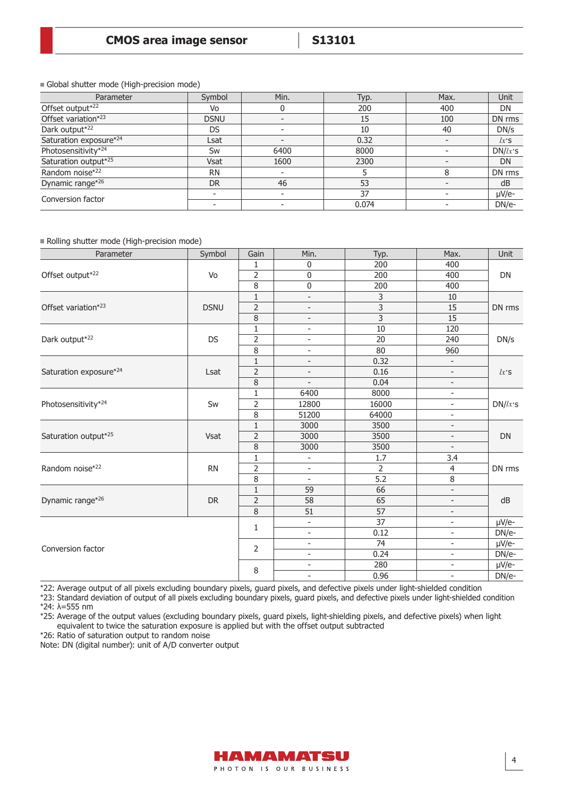Global shutter mode (High-precision mode)

| Parameter              | Symbol      | Min.                     | Typ.  | Max. | <b>Unit</b> |
|------------------------|-------------|--------------------------|-------|------|-------------|
| Offset output*22       | Vo          |                          | 200   | 400  | DN          |
| Offset variation*23    | <b>DSNU</b> |                          | 15    | 100  | DN rms      |
| Dark output*22         | <b>DS</b>   |                          | 10    | 40   | DN/s        |
| Saturation exposure*24 | Lsat        |                          | 0.32  |      | $lx$ 'S     |
| Photosensitivity*24    | Sw          | 6400                     | 8000  |      | $DN/lx$ 's  |
| Saturation output*25   | <b>Vsat</b> | 1600                     | 2300  |      | DN          |
| Random noise*22        | <b>RN</b>   |                          |       |      | DN rms      |
| Dynamic range*26       | <b>DR</b>   | 46                       | 53    |      | dB          |
| Conversion factor      |             |                          | 37    |      | µV/e-       |
|                        |             | $\overline{\phantom{a}}$ | 0.074 |      | DN/e-       |

#### Rolling shutter mode (High-precision mode)

| Parameter              | Symbol      | Gain           | Min.                         | Typ.           | Max.                     | Unit       |
|------------------------|-------------|----------------|------------------------------|----------------|--------------------------|------------|
|                        |             | 1              | 0                            | 200            | 400                      |            |
| Offset output*22       | Vo          | $\overline{2}$ | 0                            | 200            | 400                      | <b>DN</b>  |
|                        |             | 8              | 0                            | 200            | 400                      |            |
|                        |             | $1\,$          | $\qquad \qquad \blacksquare$ | 3              | $10\,$                   |            |
| Offset variation*23    | <b>DSNU</b> | $\overline{2}$ | $\overline{\phantom{a}}$     | $\overline{3}$ | 15                       | DN rms     |
|                        |             | 8              | $\overline{\phantom{a}}$     | $\overline{3}$ | 15                       |            |
|                        |             | $\mathbf{1}$   | $\overline{\phantom{m}}$     | 10             | 120                      |            |
| Dark output*22         | DS          | $\overline{2}$ | $\overline{\phantom{a}}$     | 20             | 240                      | DN/s       |
|                        |             | 8              | $\qquad \qquad -$            | 80             | 960                      |            |
|                        |             | $1\,$          | $\overline{\phantom{a}}$     | 0.32           | $\overline{\phantom{a}}$ |            |
| Saturation exposure*24 | Lsat        | $\overline{2}$ | $\overline{\phantom{a}}$     | 0.16           | $\overline{\phantom{a}}$ | $lx$ 'S    |
|                        |             | 8              |                              | 0.04           | $\overline{\phantom{a}}$ |            |
|                        | Sw          | $\mathbf{1}$   | 6400                         | 8000           | $\overline{\phantom{a}}$ | $DN/lx$ 's |
| Photosensitivity*24    |             | $\overline{2}$ | 12800                        | 16000          | $\overline{\phantom{a}}$ |            |
|                        |             | $\overline{8}$ | 51200                        | 64000          | $\overline{\phantom{a}}$ |            |
|                        | Vsat        | $\mathbf{1}$   | 3000                         | 3500           | $\overline{\phantom{a}}$ | <b>DN</b>  |
| Saturation output*25   |             | $\overline{2}$ | 3000                         | 3500           | $\overline{\phantom{a}}$ |            |
|                        |             | 8              | 3000                         | 3500           | $\overline{\phantom{a}}$ |            |
|                        |             | $\mathbf{1}$   | $\qquad \qquad \blacksquare$ | 1.7            | $\overline{3.4}$         |            |
| Random noise*22        | <b>RN</b>   | $\overline{2}$ | $\overline{a}$               | $\overline{2}$ | $\overline{4}$           | DN rms     |
|                        |             | 8              | $\bar{\phantom{a}}$          | 5.2            | 8                        |            |
|                        |             | $\mathbf 1$    | 59                           | 66             | $\overline{\phantom{a}}$ |            |
| Dynamic range*26       | DR          | $\overline{2}$ | $\overline{58}$              | 65             | $\overline{\phantom{a}}$ | dB         |
|                        |             | $\overline{8}$ | 51                           | 57             | $\overline{\phantom{a}}$ |            |
|                        |             | 1              | $\bar{\phantom{a}}$          | 37             | $\overline{\phantom{a}}$ | µV/e-      |
|                        |             |                | $\qquad \qquad -$            | 0.12           | $\overline{\phantom{a}}$ | DN/e-      |
| Conversion factor      |             | $\overline{2}$ | $\overline{\phantom{m}}$     | 74             | $\overline{\phantom{0}}$ | $\mu$ V/e- |
|                        |             |                | $\overline{a}$               | 0.24           | $\overline{\phantom{a}}$ | DN/e-      |
|                        |             | 8              | $\overline{\phantom{a}}$     | 280            | $\overline{\phantom{a}}$ | µV/e-      |
|                        |             |                | $\overline{\phantom{a}}$     | 0.96           | $\overline{\phantom{a}}$ | $DN/e-$    |

\*22: Average output of all pixels excluding boundary pixels, guard pixels, and defective pixels under light-shielded condition

\*23: Standard deviation of output of all pixels excluding boundary pixels, guard pixels, and defective pixels under light-shielded condition \*24: λ=555 nm

\*25: Average of the output values (excluding boundary pixels, guard pixels, light-shielding pixels, and defective pixels) when light equivalent to twice the saturation exposure is applied but with the offset output subtracted

\*26: Ratio of saturation output to random noise

Note: DN (digital number): unit of A/D converter output

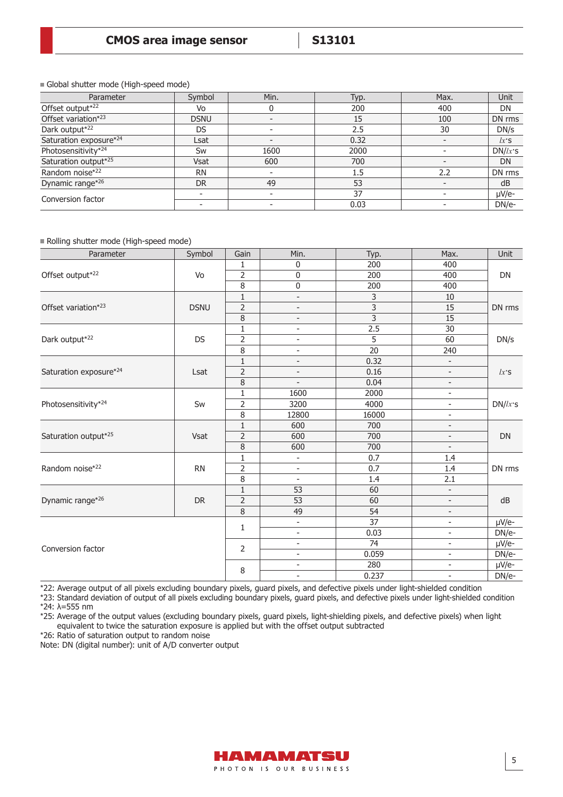Global shutter mode (High-speed mode)

| Parameter              | Symbol      | Min. | Typ.    | Max.                     | <b>Unit</b> |
|------------------------|-------------|------|---------|--------------------------|-------------|
| Offset output*22       | Vo          |      | 200     | 400                      | DN          |
| Offset variation*23    | <b>DSNU</b> |      | 15      | 100                      | DN rms      |
| Dark output*22         | DS          |      | 2.5     | 30                       | DN/s        |
| Saturation exposure*24 | Lsat        |      | 0.32    |                          | $lx$ 'S     |
| Photosensitivity*24    | Sw          | 1600 | 2000    |                          | $DN/lx$ 's  |
| Saturation output*25   | <b>Vsat</b> | 600  | 700     | $\overline{\phantom{a}}$ | <b>DN</b>   |
| Random noise*22        | <b>RN</b>   |      | $1.5\,$ | 2.2                      | DN rms      |
| Dynamic range*26       | <b>DR</b>   | 49   | 53      |                          | dB          |
| Conversion factor      |             |      | 37      |                          | µV/e-       |
|                        |             |      | 0.03    |                          | DN/e-       |

Rolling shutter mode (High-speed mode)

| Parameter              | Symbol      | Gain           | Min.                     | Typ.                      | Max.                     | Unit       |
|------------------------|-------------|----------------|--------------------------|---------------------------|--------------------------|------------|
| Offset output*22       | Vo          | 1              | $\mathbf 0$              | 200                       | 400                      | <b>DN</b>  |
|                        |             | $\overline{2}$ | 0                        | 200                       | 400                      |            |
|                        |             | $\overline{8}$ | 0                        | 200                       | 400                      |            |
| Offset variation*23    | <b>DSNU</b> | $\mathbf 1$    | $\overline{\phantom{0}}$ | 3                         | 10                       | DN rms     |
|                        |             | $\overline{2}$ | $\overline{\phantom{a}}$ | $\overline{3}$            | 15                       |            |
|                        |             | 8              | $\overline{\phantom{a}}$ | $\overline{\overline{3}}$ | $\overline{15}$          |            |
|                        | DS          | $\mathbf{1}$   | $\overline{\phantom{a}}$ | 2.5                       | $\overline{30}$          | DN/s       |
| Dark output*22         |             | $\overline{2}$ | $\overline{\phantom{a}}$ | 5                         | 60                       |            |
|                        |             | 8              | $\overline{\phantom{0}}$ | $\overline{20}$           | 240                      |            |
|                        |             | $\mathbf{1}$   | $\overline{\phantom{a}}$ | 0.32                      | $\overline{\phantom{a}}$ | $lx$ 'S    |
| Saturation exposure*24 | Lsat        | 2              | $\overline{\phantom{a}}$ | 0.16                      | $\overline{\phantom{a}}$ |            |
|                        |             | $\,8\,$        |                          | 0.04                      | $\overline{\phantom{a}}$ |            |
|                        |             | 1              | 1600                     | 2000                      | $\overline{\phantom{a}}$ | $DN/lx$ 's |
| Photosensitivity*24    | Sw          | $\overline{2}$ | 3200                     | 4000                      | $\overline{\phantom{a}}$ |            |
|                        |             | $\overline{8}$ | 12800                    | 16000                     | ÷                        |            |
|                        | Vsat        | $\mathbf 1$    | 600                      | 700                       | $\overline{a}$           | DN         |
| Saturation output*25   |             | $\overline{2}$ | 600                      | 700                       | $\overline{\phantom{0}}$ |            |
|                        |             | $\, 8$         | 600                      | 700                       | $\overline{\phantom{a}}$ |            |
|                        | <b>RN</b>   | $\mathbf{1}$   | $\blacksquare$           | 0.7                       | 1.4                      | DN rms     |
| Random noise*22        |             | $\overline{2}$ |                          | 0.7                       | 1.4                      |            |
|                        |             | 8              | $\blacksquare$           | 1.4                       | 2.1                      |            |
| Dynamic range*26       | DR          | $\mathbf{1}$   | 53                       | 60                        | $\overline{\phantom{a}}$ | dB         |
|                        |             | $\overline{2}$ | 53                       | 60                        | $\overline{\phantom{a}}$ |            |
|                        |             | 8              | 49                       | 54                        | $\overline{\phantom{a}}$ |            |
| Conversion factor      |             | 1              | $\blacksquare$           | 37                        | $\blacksquare$           | µV/e-      |
|                        |             |                | $\overline{\phantom{a}}$ | 0.03                      | $\overline{\phantom{a}}$ | DN/e-      |
|                        |             | 2              | $\overline{\phantom{a}}$ | $\overline{74}$           | $\overline{\phantom{a}}$ | $\mu$ V/e- |
|                        |             |                | $\overline{\phantom{a}}$ | 0.059                     | $\overline{\phantom{a}}$ | DN/e-      |
|                        |             | 8              | $\overline{\phantom{a}}$ | 280                       | $\overline{\phantom{a}}$ | µV/e-      |
|                        |             |                |                          | 0.237                     | $\overline{a}$           | DN/e-      |

\*22: Average output of all pixels excluding boundary pixels, guard pixels, and defective pixels under light-shielded condition

\*23: Standard deviation of output of all pixels excluding boundary pixels, guard pixels, and defective pixels under light-shielded condition \*24: λ=555 nm

\*25: Average of the output values (excluding boundary pixels, guard pixels, light-shielding pixels, and defective pixels) when light equivalent to twice the saturation exposure is applied but with the offset output subtracted

\*26: Ratio of saturation output to random noise

Note: DN (digital number): unit of A/D converter output

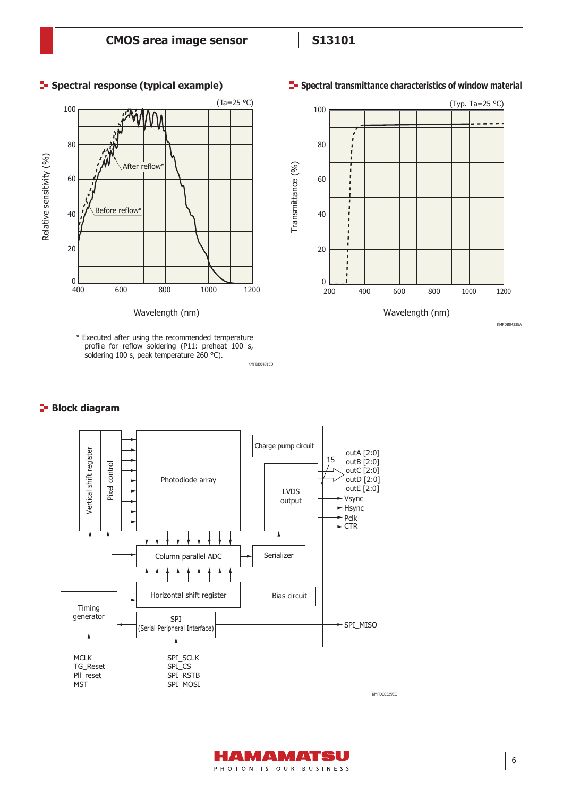

#### \* Executed after using the recommended temperature profile for reflow soldering (P11: preheat 100 s, soldering 100 s, peak temperature 260 °C).

KMPDB0491ED

# **Block diagram**







PHOTON IS OUR BUSINESS

HAMAMATSU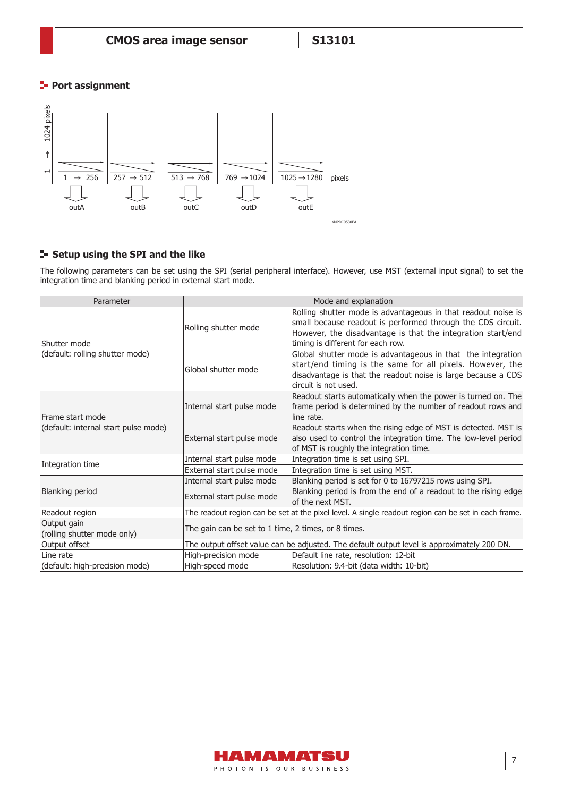# **Port assignment**



# **Setup using the SPI and the like**

The following parameters can be set using the SPI (serial peripheral interface). However, use MST (external input signal) to set the integration time and blanking period in external start mode.

| Parameter                                         | Mode and explanation                                                                                |                                                                                                                                                                                                                                  |  |  |
|---------------------------------------------------|-----------------------------------------------------------------------------------------------------|----------------------------------------------------------------------------------------------------------------------------------------------------------------------------------------------------------------------------------|--|--|
| Shutter mode                                      | Rolling shutter mode                                                                                | Rolling shutter mode is advantageous in that readout noise is<br>small because readout is performed through the CDS circuit.<br>However, the disadvantage is that the integration start/end<br>timing is different for each row. |  |  |
| (default: rolling shutter mode)                   | Global shutter mode                                                                                 | Global shutter mode is advantageous in that the integration<br>start/end timing is the same for all pixels. However, the<br>disadvantage is that the readout noise is large because a CDS<br>circuit is not used.                |  |  |
| Frame start mode                                  | Internal start pulse mode                                                                           | Readout starts automatically when the power is turned on. The<br>frame period is determined by the number of readout rows and<br>line rate.                                                                                      |  |  |
| (default: internal start pulse mode)              | External start pulse mode                                                                           | Readout starts when the rising edge of MST is detected. MST is<br>also used to control the integration time. The low-level period<br>of MST is roughly the integration time.                                                     |  |  |
|                                                   | Internal start pulse mode                                                                           | Integration time is set using SPI.                                                                                                                                                                                               |  |  |
| Integration time                                  | External start pulse mode                                                                           | Integration time is set using MST.                                                                                                                                                                                               |  |  |
|                                                   | Internal start pulse mode                                                                           | Blanking period is set for 0 to 16797215 rows using SPI.                                                                                                                                                                         |  |  |
| <b>Blanking period</b>                            | External start pulse mode                                                                           | Blanking period is from the end of a readout to the rising edge<br>lof the next MST.                                                                                                                                             |  |  |
| Readout region                                    | The readout region can be set at the pixel level. A single readout region can be set in each frame. |                                                                                                                                                                                                                                  |  |  |
| Output gain<br>(rolling shutter mode only)        | The gain can be set to 1 time, 2 times, or 8 times.                                                 |                                                                                                                                                                                                                                  |  |  |
| Output offset                                     | The output offset value can be adjusted. The default output level is approximately 200 DN.          |                                                                                                                                                                                                                                  |  |  |
| Line rate                                         | High-precision mode<br>Default line rate, resolution: 12-bit                                        |                                                                                                                                                                                                                                  |  |  |
| High-speed mode<br>(default: high-precision mode) |                                                                                                     | Resolution: 9.4-bit (data width: 10-bit)                                                                                                                                                                                         |  |  |

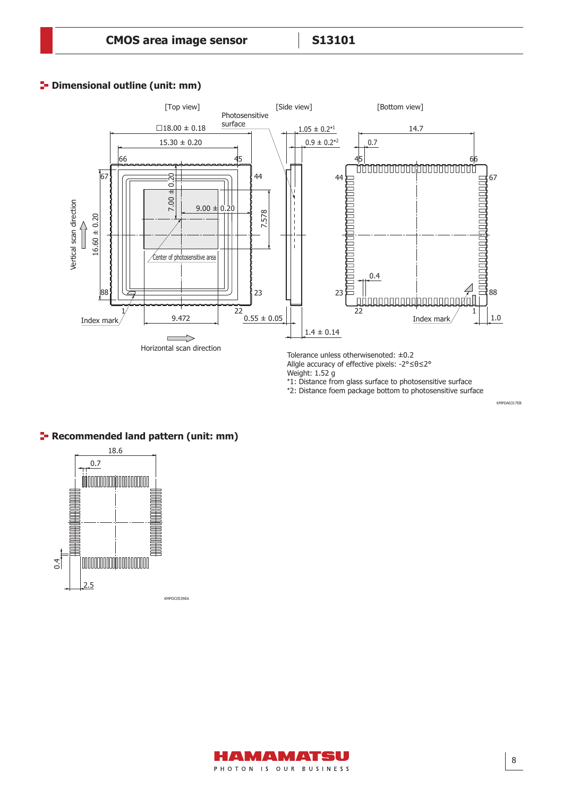# **P** Dimensional outline (unit: mm)



Allgle accuracy of effective pixels: -2°≤θ≤2°

Weight: 1.52 g

\*1: Distance from glass surface to photosensitive surface

\*2: Distance foem package bottom to photosensitive surface

# **Recommended land pattern (unit: mm)**



HAMAMATSU PHOTON IS OUR BUSINESS KMPDA0317EB KMPDA0317EB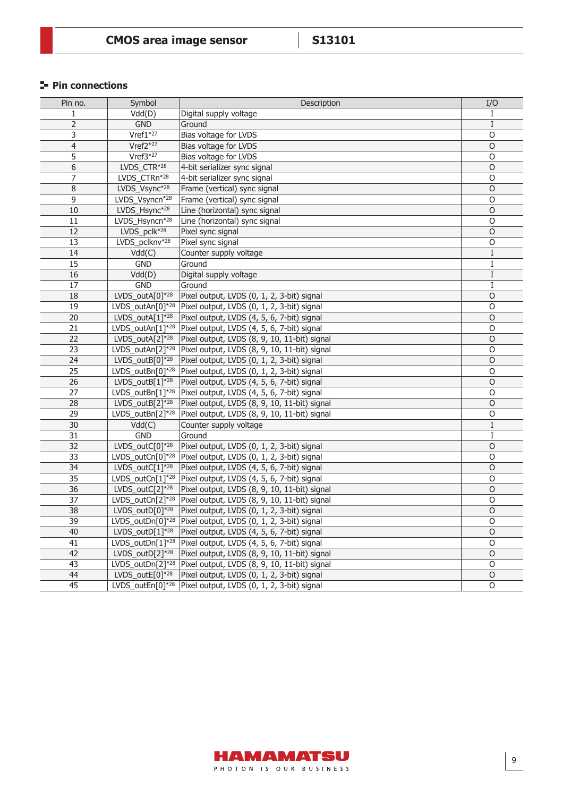# **Pin connections**

| Pin no.        | Symbol                         | Description                                                             | I/O         |
|----------------|--------------------------------|-------------------------------------------------------------------------|-------------|
| 1              | Vdd(D)                         | Digital supply voltage                                                  |             |
| $\overline{2}$ | <b>GND</b>                     | Ground                                                                  | I           |
| 3              | $Vref1*27$                     | Bias voltage for LVDS                                                   | $\circ$     |
| 4              | $Vref2*27$                     | Bias voltage for LVDS                                                   | $\circ$     |
| 5              | $Vref3*27$                     | Bias voltage for LVDS                                                   | O           |
| 6              | LVDS_CTR*28                    | 4-bit serializer sync signal                                            | $\circ$     |
| 7              | LVDS_CTRn*28                   | 4-bit serializer sync signal                                            | O           |
| 8              | LVDS_Vsync*28                  | Frame (vertical) sync signal                                            | $\mathsf O$ |
| 9              | LVDS_Vsyncn*28                 | Frame (vertical) sync signal                                            | $\circ$     |
| 10             | LVDS_Hsync*28                  | Line (horizontal) sync signal                                           | $\mathsf O$ |
| 11             | LVDS_Hsyncn*28                 | Line (horizontal) sync signal                                           | $\circ$     |
| 12             | LVDS_pclk*28                   | Pixel sync signal                                                       | $\circ$     |
| 13             | LVDS_pclknv <sup>*28</sup>     | Pixel sync signal                                                       | O           |
| 14             | Vdd(C)                         | Counter supply voltage                                                  | I           |
| 15             | <b>GND</b>                     | Ground                                                                  | Ι           |
| 16             | Vdd(D)                         | Digital supply voltage                                                  | I           |
| 17             | <b>GND</b>                     | Ground                                                                  | I           |
| 18             | LVDS_outA $[0]$ <sup>*28</sup> | Pixel output, LVDS (0, 1, 2, 3-bit) signal                              | $\circ$     |
| 19             | LVDS_outAn[0]*28               | Pixel output, LVDS (0, 1, 2, 3-bit) signal                              | O           |
| 20             | $LVDS_outA[1]^{*28}$           | Pixel output, LVDS (4, 5, 6, 7-bit) signal                              | $\circ$     |
| 21             | LVDS_outAn[1]*28               | Pixel output, LVDS (4, 5, 6, 7-bit) signal                              | $\mathsf O$ |
| 22             | LVDS_outA $[2]$ <sup>*28</sup> | Pixel output, LVDS (8, 9, 10, 11-bit) signal                            | $\circ$     |
| 23             | LVDS_outAn[2]*28               | Pixel output, LVDS (8, 9, 10, 11-bit) signal                            | O           |
| 24             | LVDS_outB[0]*28                | Pixel output, LVDS (0, 1, 2, 3-bit) signal                              | O           |
| 25             | LVDS_outBn[0]*28               | Pixel output, LVDS (0, 1, 2, 3-bit) signal                              | O           |
| 26             | LVDS_outB $[1]$ <sup>*28</sup> | Pixel output, LVDS (4, 5, 6, 7-bit) signal                              | $\mathsf O$ |
| 27             | LVDS_outBn[1]*28               | Pixel output, LVDS (4, 5, 6, 7-bit) signal                              | $\circ$     |
| 28             | LVDS_outB $[2]$ <sup>*28</sup> | Pixel output, LVDS (8, 9, 10, 11-bit) signal                            | $\mathsf O$ |
| 29             | LVDS_outBn[2]*28               | Pixel output, LVDS (8, 9, 10, 11-bit) signal                            | $\mathsf O$ |
| 30             | Vdd(C)                         | Counter supply voltage                                                  | Ι           |
| 31             | <b>GND</b>                     | Ground                                                                  | Ι           |
| 32             | LVDS_outC $[0]$ <sup>*28</sup> | Pixel output, LVDS (0, 1, 2, 3-bit) signal                              | $\mathsf O$ |
| 33             | LVDS_outCn[0]*28               | Pixel output, LVDS (0, 1, 2, 3-bit) signal                              | 0           |
| 34             | LVDS_outC $[1]$ <sup>*28</sup> | Pixel output, LVDS (4, 5, 6, 7-bit) signal                              | $\circ$     |
| 35             | LVDS_outCn[1]*28               | Pixel output, LVDS (4, 5, 6, 7-bit) signal                              | O           |
| 36             | LVDS_outC[2] $*28$             | Pixel output, LVDS (8, 9, 10, 11-bit) signal                            | $\circ$     |
| 37             | LVDS_outCn[2]*28               | Pixel output, LVDS (8, 9, 10, 11-bit) signal                            | O           |
| 38             | LVDS_outD $[0]$ *28            | Pixel output, LVDS (0, 1, 2, 3-bit) signal                              | $\mathsf O$ |
| 39             |                                | LVDS_outDn[0] <sup>*28</sup> Pixel output, LVDS (0, 1, 2, 3-bit) signal | $\mathsf O$ |
| 40             | LVDS_outD $[1]^{*28}$          | Pixel output, LVDS (4, 5, 6, 7-bit) signal                              | $\circ$     |
| 41             | LVDS_outDn[1]*28               | Pixel output, LVDS (4, 5, 6, 7-bit) signal                              | O           |
| 42             | LVDS_outD $[2]$ <sup>*28</sup> | Pixel output, LVDS (8, 9, 10, 11-bit) signal                            | O           |
| 43             | LVDS_outDn[2]*28               | Pixel output, LVDS (8, 9, 10, 11-bit) signal                            | O           |
| 44             | LVDS_outE $[0]$ <sup>*28</sup> | Pixel output, LVDS (0, 1, 2, 3-bit) signal                              | $\mathsf O$ |
| 45             | LVDS_outEn[0]*28               | Pixel output, LVDS (0, 1, 2, 3-bit) signal                              | 0           |

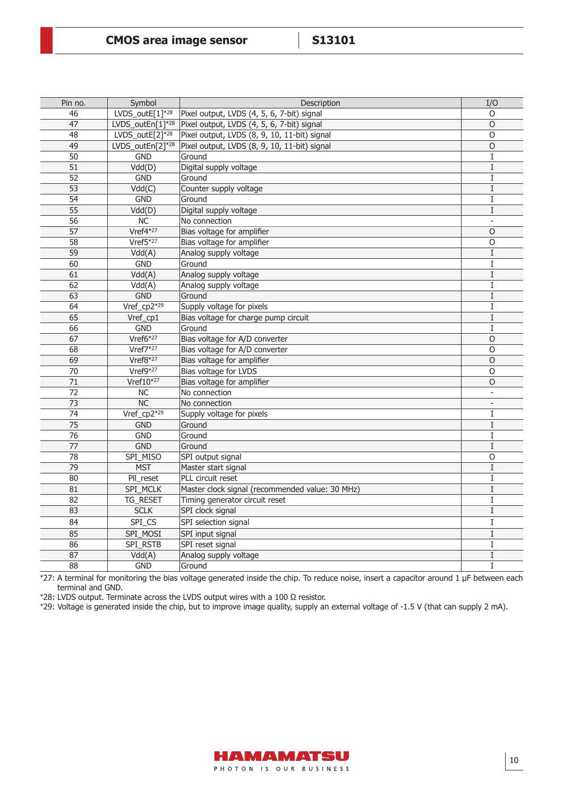| Pin no.         | Symbol                         | Description                                     | I/O            |
|-----------------|--------------------------------|-------------------------------------------------|----------------|
| 46              | LVDS_outE[ $1$ <sup>*28</sup>  | Pixel output, LVDS (4, 5, 6, 7-bit) signal      | O              |
| 47              | LVDS outEn[1]*28               | Pixel output, LVDS (4, 5, 6, 7-bit) signal      | $\circ$        |
| 48              | LVDS_outE $[2]$ <sup>*28</sup> | Pixel output, LVDS (8, 9, 10, 11-bit) signal    | O              |
| 49              | LVDS_outEn[2]*28               | Pixel output, LVDS (8, 9, 10, 11-bit) signal    | $\overline{0}$ |
| 50              | <b>GND</b>                     | Ground                                          | $\bf{I}$       |
| 51              | Vdd(D)                         | Digital supply voltage                          | $\mathbf I$    |
| 52              | <b>GND</b>                     | Ground                                          | $\rm I$        |
| $\overline{53}$ | Vdd(C)                         | Counter supply voltage                          | $\mathbf I$    |
| 54              | <b>GND</b>                     | Ground                                          | I              |
| 55              | Vdd(D)                         | Digital supply voltage                          | I              |
| 56              | <b>NC</b>                      | No connection                                   | $\sim$         |
| 57              | Vref4*27                       | Bias voltage for amplifier                      | O              |
| $\overline{58}$ | Vref5*27                       | Bias voltage for amplifier                      | $\overline{0}$ |
| 59              | Vdd(A)                         | Analog supply voltage                           | $\mathbf I$    |
| 60              | <b>GND</b>                     | Ground                                          | I              |
| 61              | Vdd(A)                         | Analog supply voltage                           | $\mathbf I$    |
| 62              | Vdd(A)                         | Analog supply voltage                           | $\mathbf I$    |
| 63              | <b>GND</b>                     | Ground                                          | $\mathbf I$    |
| 64              | Vref_cp2*29                    | Supply voltage for pixels                       | Ι              |
| 65              | Vref_cp1                       | Bias voltage for charge pump circuit            | $\rm I$        |
| 66              | GND                            | Ground                                          | $\mathbf I$    |
| 67              | Vref6*27                       | Bias voltage for A/D converter                  | $\Omega$       |
| 68              | Vref7*27                       | Bias voltage for A/D converter                  | O              |
| 69              | Vref8*27                       | Bias voltage for amplifier                      | $\overline{O}$ |
| 70              | $Vref9*27$                     | Bias voltage for LVDS                           | O              |
| 71              | Vref $10^{*27}$                | Bias voltage for amplifier                      | O              |
| $\overline{72}$ | $\overline{NC}$                | No connection                                   |                |
| 73              | NC                             | No connection                                   | $\blacksquare$ |
| 74              | Vref_cp2*29                    | Supply voltage for pixels                       | $\bf{I}$       |
| $\overline{75}$ | <b>GND</b>                     | Ground                                          | $\rm I$        |
| 76              | <b>GND</b>                     | Ground                                          | I              |
| 77              | <b>GND</b>                     | Ground                                          | I              |
| $\overline{78}$ | SPI_MISO                       | SPI output signal                               | $\overline{0}$ |
| $\overline{79}$ | <b>MST</b>                     | Master start signal                             | $\mathbf I$    |
| 80              | PII_reset                      | PLL circuit reset                               | I              |
| 81              | SPI_MCLK                       | Master clock signal (recommended value: 30 MHz) | $\rm I$        |
| 82              | TG_RESET                       | Timing generator circuit reset                  | $\bf{I}$       |
| 83              | <b>SCLK</b>                    | SPI clock signal                                | $\rm I$        |
| 84              | SPI_CS                         | SPI selection signal                            | $\bf{I}$       |
| $\overline{85}$ | SPI_MOSI                       | SPI input signal                                | $\rm I$        |
| 86              | SPI_RSTB                       | SPI reset signal                                | $\rm I$        |
| 87              | Vdd(A)                         | Analog supply voltage                           | I              |
| 88              | <b>GND</b>                     | Ground                                          | $\mathbf I$    |

\*27: A terminal for monitoring the bias voltage generated inside the chip. To reduce noise, insert a capacitor around 1 μF between each terminal and GND.

\*28: LVDS output. Terminate across the LVDS output wires with a 100 Ω resistor.

\*29: Voltage is generated inside the chip, but to improve image quality, supply an external voltage of -1.5 V (that can supply 2 mA).

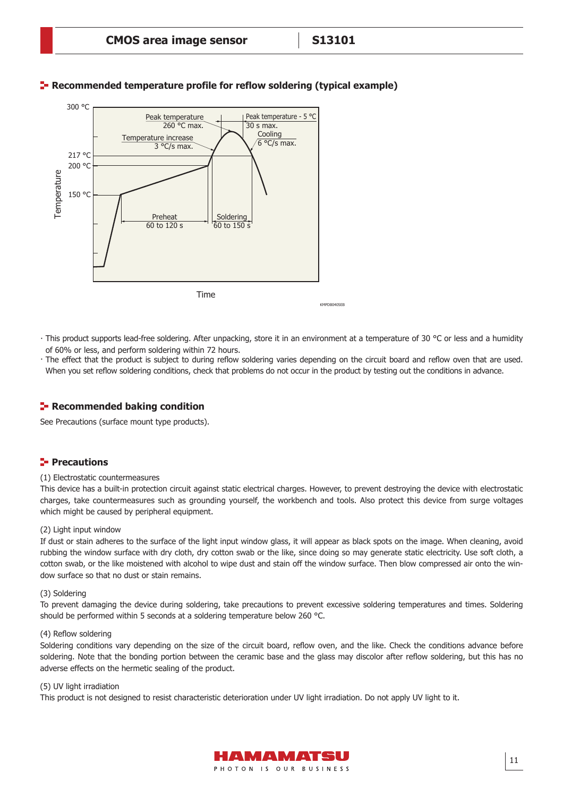

# **Recommended temperature profile for reflow soldering (typical example)**

- · This product supports lead-free soldering. After unpacking, store it in an environment at a temperature of 30 °C or less and a humidity of 60% or less, and perform soldering within 72 hours.
- · The effect that the product is subject to during reflow soldering varies depending on the circuit board and reflow oven that are used. When you set reflow soldering conditions, check that problems do not occur in the product by testing out the conditions in advance.

## **Recommended baking condition**

See Precautions (surface mount type products).

## **Precautions**

#### (1) Electrostatic countermeasures

This device has a built-in protection circuit against static electrical charges. However, to prevent destroying the device with electrostatic charges, take countermeasures such as grounding yourself, the workbench and tools. Also protect this device from surge voltages which might be caused by peripheral equipment.

#### (2) Light input window

If dust or stain adheres to the surface of the light input window glass, it will appear as black spots on the image. When cleaning, avoid rubbing the window surface with dry cloth, dry cotton swab or the like, since doing so may generate static electricity. Use soft cloth, a cotton swab, or the like moistened with alcohol to wipe dust and stain off the window surface. Then blow compressed air onto the window surface so that no dust or stain remains.

#### (3) Soldering

To prevent damaging the device during soldering, take precautions to prevent excessive soldering temperatures and times. Soldering should be performed within 5 seconds at a soldering temperature below 260 °C.

#### (4) Reflow soldering

Soldering conditions vary depending on the size of the circuit board, reflow oven, and the like. Check the conditions advance before soldering. Note that the bonding portion between the ceramic base and the glass may discolor after reflow soldering, but this has no adverse effects on the hermetic sealing of the product.

#### (5) UV light irradiation

This product is not designed to resist characteristic deterioration under UV light irradiation. Do not apply UV light to it.

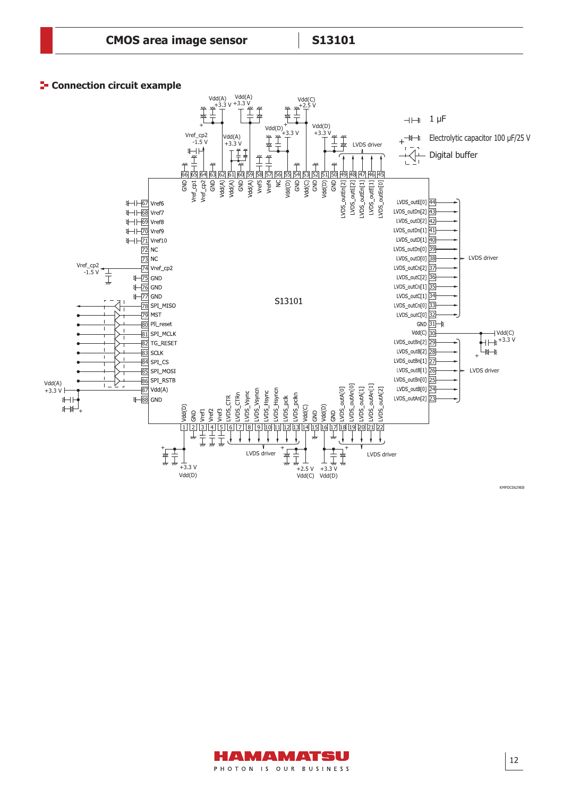#### **F** Connection circuit example



KMPDC0629EB